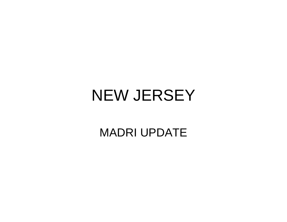#### NEW JERSEY

#### MADRI UPDATE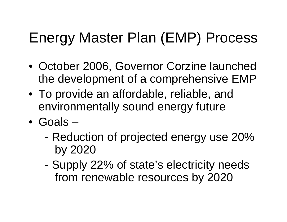#### Energy Master Plan (EMP) Process

- October 2006, Governor Corzine launched the development of a comprehensive EMP
- To provide an affordable, reliable, and environmentally sound energy future
- Goals
	- - Reduction of projected energy use 20% by 2020
	- - Supply 22% of state's electricity needs from renewable resources by 2020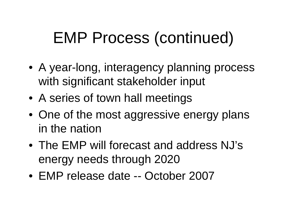# EMP Process (continued)

- A year-long, interagency planning process with significant stakeholder input
- A series of town hall meetings
- One of the most aggressive energy plans in the nation
- The EMP will forecast and address NJ's energy needs through 2020
- EMP release date -- October 2007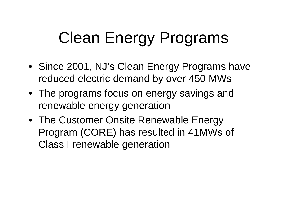# Clean Energy Programs

- Since 2001, NJ's Clean Energy Programs have reduced electric demand by over 450 MWs
- The programs focus on energy savings and renewable energy generation
- The Customer Onsite Renewable Energy Program (CORE) has resulted in 41MWs of Class I renewable generation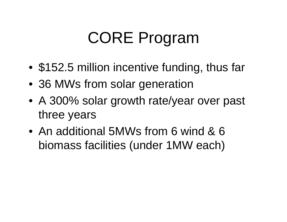# CORE Program

- •\$152.5 million incentive funding, thus far
- 36 MWs from solar generation
- A 300% solar growth rate/year over past three years
- An additional 5MWs from 6 wind & 6 biomass facilities (under 1MW each)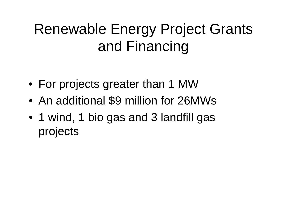#### Renewable Energy Project Grants and Financing

- For projects greater than 1 MW
- $\bullet$ An additional \$9 million for 26MWs
- 1 wind, 1 bio gas and 3 landfill gas projects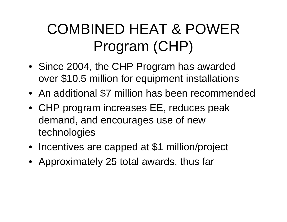## COMBINED HEAT & POWER Program (CHP)

- Since 2004, the CHP Program has awarded over \$10.5 million for equipment installations
- An additional \$7 million has been recommended
- CHP program increases EE, reduces peak demand, and encourages use of new technologies
- Incentives are capped at \$1 million/project
- Approximately 25 total awards, thus far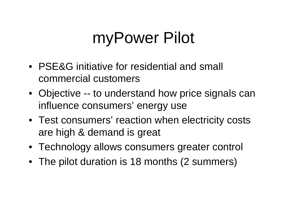# myPower Pilot

- PSE&G initiative for residential and small commercial customers
- Objective -- to understand how price signals can influence consumers' energy use
- Test consumers' reaction when electricity costs are high & demand is great
- Technology allows consumers greater control
- The pilot duration is 18 months (2 summers)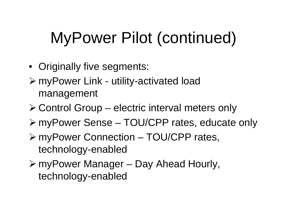# MyPower Pilot (continued)

- Originally five segments:
- ¾ myPower Link utility-activated load management
- ¾ Control Group electric interval meters only
- ¾ myPower Sense TOU/CPP rates, educate only
- ¾ myPower Connection TOU/CPP rates, technology-enabled
- ¾ myPower Manager Day Ahead Hourly, technology-enabled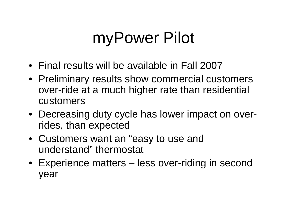# myPower Pilot

- Final results will be available in Fall 2007
- Preliminary results show commercial customers over-ride at a much higher rate than residential customers
- Decreasing duty cycle has lower impact on overrides, than expected
- Customers want an "easy to use and understand" thermostat
- Experience matters less over-riding in second year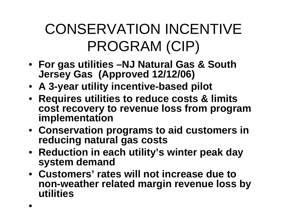## CONSERVATION INCENTIVE PROGRAM (CIP)

- **For gas utilities –NJ Natural Gas & South Jersey Gas (Approved 12/12/06)**
- **A 3-year utility incentive-based pilot**
- **Requires utilities to reduce costs & limits cost recovery to revenue loss from program implementation**
- **Conservation programs to aid customers in reducing natural gas costs**
- **Reduction in each utility's winter peak day system demand**
- **Customers' rates will not increase due to non-weather related margin revenue loss by utilities**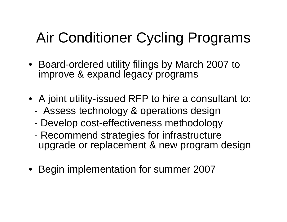### Air Conditioner Cycling Programs

- Board-ordered utility filings by March 2007 to improve & expand legacy programs
- A joint utility-issued RFP to hire a consultant to:
	- -Assess technology & operations design
	- Develop cost-effectiveness methodology
	- Recommend strategies for infrastructure upgrade or replacement & new program design
- Begin implementation for summer 2007